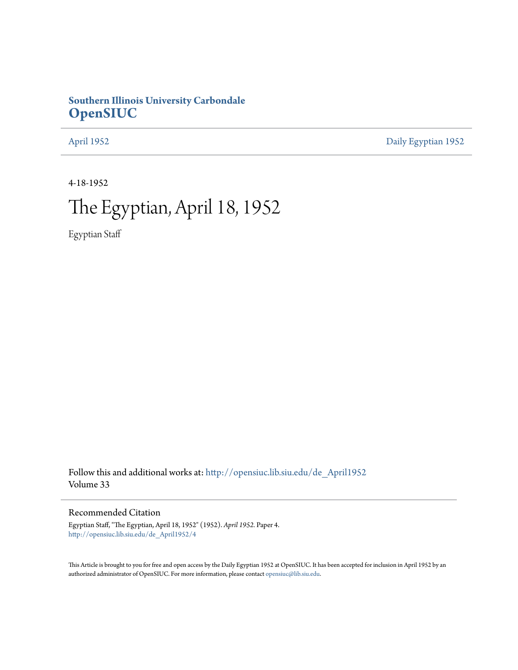## **Southern Illinois University Carbondale [OpenSIUC](http://opensiuc.lib.siu.edu?utm_source=opensiuc.lib.siu.edu%2Fde_April1952%2F4&utm_medium=PDF&utm_campaign=PDFCoverPages)**

[April 1952](http://opensiuc.lib.siu.edu/de_April1952?utm_source=opensiuc.lib.siu.edu%2Fde_April1952%2F4&utm_medium=PDF&utm_campaign=PDFCoverPages) [Daily Egyptian 1952](http://opensiuc.lib.siu.edu/de_1952?utm_source=opensiuc.lib.siu.edu%2Fde_April1952%2F4&utm_medium=PDF&utm_campaign=PDFCoverPages)

4-18-1952

## The Egyptian, April 18, 1952

Egyptian Staff

Follow this and additional works at: [http://opensiuc.lib.siu.edu/de\\_April1952](http://opensiuc.lib.siu.edu/de_April1952?utm_source=opensiuc.lib.siu.edu%2Fde_April1952%2F4&utm_medium=PDF&utm_campaign=PDFCoverPages) Volume 33

Recommended Citation

Egyptian Staff, "The Egyptian, April 18, 1952" (1952). *April 1952.* Paper 4. [http://opensiuc.lib.siu.edu/de\\_April1952/4](http://opensiuc.lib.siu.edu/de_April1952/4?utm_source=opensiuc.lib.siu.edu%2Fde_April1952%2F4&utm_medium=PDF&utm_campaign=PDFCoverPages)

This Article is brought to you for free and open access by the Daily Egyptian 1952 at OpenSIUC. It has been accepted for inclusion in April 1952 by an authorized administrator of OpenSIUC. For more information, please contact [opensiuc@lib.siu.edu](mailto:opensiuc@lib.siu.edu).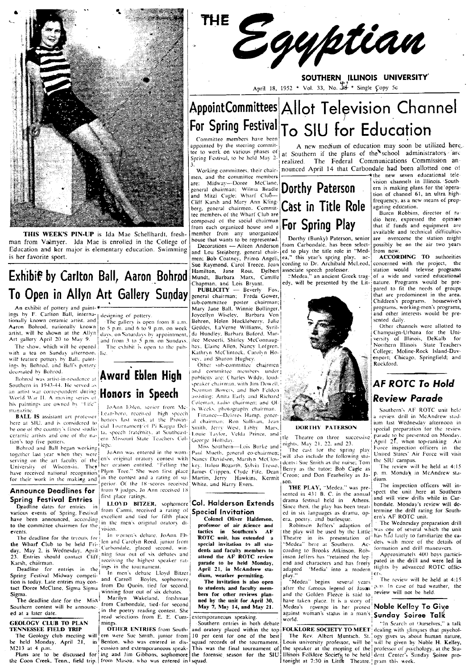

THIS WEEK'S PIN-UP is Ida Mae Schellhardt, freshman from Valmver. Ida Mae is enrolled in the College of Education and her major is elementary education. Swimming is her favorite sport.

## Exhibit by Carlton Ball, Aaron Bohrod To Open in Allyn Art Gallery Sunday

An exhibit of pottery and paintings by F. Carlton Ball, interna-<br>tionally known ceramic artist, and Aaron Bohrod, nationally known artist, will be shown at the Allyn Art gallery April 20 to May 9.

The show, which will be opened with a tea on Sunday afternoon. will feature pottery by Ball, paintings by Bohrod, and Ball's pottery decorated by Bohrod.

Southern in 1943-44. He served as an artist war correspondent during **Honors** in Speech World War H. A moving series of his paintings are owned by "Life" magazine

**BALL IS** assistant art professor here at SIU, and is considered to bothers last week, at the Provin-<br>the one of the country's finest studio  $\begin{bmatrix} \text{cal} \\ \text{cal} \end{bmatrix}$  requires the country's property of Pi Kappa Delbe one of the country's intest studio<br>
era speech fraternity, at Southeast-<br>
era Missouri State Teachers Col-Fortune around 2<br>
Hohrod and Ball began working

together last year when they were serving on the art faculty of the en's original oratory contest with serving on the air ration. They her oration entitled. "Felling the<br>have received national recognition<sup>1</sup> Plum Tree." She won first place

### **Announce Deadlines for** Spring Festival Entries

Deadline dates for entries in<br>various events of Spring, Festival various events of Spring, Festival revealent and tied for fifth place<br>have been announced, according in the men's original oratory di-<br>the committee chairmen for the lin the men's original oratory dito the committee chairmen for the

23. Entries should contact Cliff ining four out of six debates and Karsh, chairman.

Deadline for entries in the Dealing Festival Midway competi-<br>
In men's debate Lloyd Bitzer<br>
tion is today. Late entries may con-<br>
and Carroll Boyles, sophomore<br>
tact Doree McClane, Sigma Sigma from Du Quoin, tied for second,<br>
Sigma Sigma Sigma (winni Sigma.

The deadline date for the Miss Southern contest will be announced at a later date.

### **GEOLOGY CLUB TO PLAN** TENNESSEE FIELD TRIP

M213 at 4 p.m.

the Coon Creek, Tenn., field trip. from Mason, who was entered in squad.

designing of pottery

The gallery is open from 8 a.m. to 5 p.m. and 6 to 9 p.m. on week days, on Saturdays by appointment, and from 3 to 5 p.m. on Sundays.

The exhibit is open to the pub-

## Ecorated by Bohrod.<br>Bohrod was artist-in-residence at **Award Eblen High** JoAnn Eblen, senior from Mc-

Leansboro, received high speech honors last week, at the Provinlege

JoAnn was entered in the womfor their work in the making and in the contest and a rating of superior. Of the 18 scores received White, and Harry Evers. from 9 judges, Jo Ann received 18 first place ratings.

> from Carmi, received a rating of vision.

In women's debate, JoAnn Eb-The deadline for the tryouts for  $\begin{bmatrix} \text{In} & \text{vomen's debate.} \text{ Johann Eth} \\ \text{the What of Club to be held Fri-}\end{bmatrix}$  len and Carolyn Reed, junior from day, May 2, is Wednesday. April cannot concern the contract second, windows receiving the highest speaker ratings in the tournament.

winning four out of six debates.<br>Marilyn Wakeland, freshman

from Carbondale, tied for second in the poetry reading contest. She<br>read selections from E. E. Cummine

OTHER ENTRIES from South-The Geology club meeting will een were Suc Smith, junior from<br>be held Monday, April 21, in Benton, who was entered in disem were Suc Smith, junior from

THE Egyptian

SOUTHERN ILLINOIS UNIVERSITY April 18, 1952 \* Vol. 33, No.  $3\frac{44}{3}$  \* Single Copy 5c

## AppointCommittees Allot Television Channel For Spring Festival To SIU for Education

Committee members have beer appointed by the steering committee to work on various phases of Spring Festival, to be held May 2

Working committees, their chairmen, and the committee members Midway-Doree McClane general chairman; Wilma Beadle Dorthy Paterson Cliff Karsh and Mary Ann Klingberg, general chairmen. Committee members of the Wharf Club are composed of the social chairman composed of the social chairman **For Spring Play** member from any unorganized<br>house that wants to be represented.

Decorations - Aileen Anderson and Lou Steinberg, general chair-<br>men; Bob Coatney, Primo Angeli, Sue Raymond, Carol Treece, Joan Hamilton, Jane Ross, Delbert<br>Mundt, Barbara Marx, Camille Chapman, and Lois Bryant.

PUBLICITY - Beverly Fox,<br>general chairman; Freda Gower, sub-committee poster chairman;<br>Mary Jane Ball, Winnie Bollinger, Joycellyn Wiseley, Barbara Von Behren, Helen Huckleberry, Julie Geddes, LaVerne Williams, Syrilda Hundley, Barbara Buford, Marilee Messerli, Shirley McConnaughav, Elaine Allen, Nancy Lofgren. Kathryn McClintock, Carolyn Hovev, and Sharon Hughey.

Other sub-committee chairmen and committee members under publicity are: Charles Wildy, loudpeaker chairman, with Jim Dowell. Norman Bowers, and Bob Feldon. assisting: Anita Early and Richard Coleman, radio chairment and Olis Weeks, photography chairman.

Finance-Delores Hamp, general chairman: Ron Sullivan, Jean<br>Smith, Jerry West, Libby Mars, Louie Taylor, Velda Prince, and George Holliday.

Paul Mueth, general co-chairmen; will also include the following stukey, Italou Bozarth, Svlvia Tresso, James Crippen. Clyde Fife. Dean Martin, Jerry Hawkins, Kermit

### LLOYD BITZER, sophomore Col. Halderson Extends **Special Invitation**

Colonel Oliver Halderson, professor of air science and .<br>tactics in Southern's **AF** ROTC unit, has extended special invitation to all students and faculty members to attend the AF ROTC review parade to be held Monday, April 21, in McAndrew stadium, weather permitting.<br>The invitation is also open

to students and faculty members for other reviews planned by the unit for April 30, May 7, May 14, and May 21.

extemporaneous speaking.

Southern entries in both debate and oratory placed within the top 10 per cent for one of the best<br>squad records of the tournament.

A new medium of education may soon be utilized here at Southern if the plans of the school administrators are The Federal Communications Commission anrealized. nounced April 14 that Carbondale had been allotted one of

**Cast in Title Role** 

Dorthy (Bunky) Paterson, senior from Carbondale, has been selected to play the title role in "Medea," this year's spring play. cording to Dr. Archibald McLeod, associate speech professor.<br>"Medea," an ancient Greek trag-

edy, will be presented by the Lit-



### DORTHY PATERSON

Theatre on three successive

dents: Sue Smith as the nurse; Tom Berry as the tutor; Bob Cagle as Creon; and Don Fearheiley as Jason

THE PLAY, "Medea." was presented in 431 B. C. in the annual drama festival held in Athens. Since then, the play has been treated in six languages as drama, opera, poetry, and burlesque.<br>Robinson Jeffers' adaption

the play will be used by the Little Theatre in its presentation of<br>"Medea" here at Southern. According to Brooks Atkinson, Robinson Jeffers has "retained the legend and characters and has freely adapted 'Media' into a modern

play."<br>"Medea" begins several years after the famous legend of Jason (p.m. In case of bad weather, the and the Golden Fleece is said to have taken place. It is a story of Medea's revenge in her protest Noble Kelley To Give against woman's status in a man's Sunday Soiree Talk .<br>world.

FOLKLORE SOCIETY TO MEET dealing with glimpses that psychol-The Rev. Albert Muntsch. St. ogy gives us about human nature, Louis university professor, will be will be given by Noble H. Kelley, relation of the Studion and external of the Studion and external contained and the studion of the Studion and extension and extension and extension and extension and extension and extension and extension and extension of t

the new seven educational television channels in Illinois. Southern is making plans for the opera-<br>tion of channel 61, an ultra highfrequency, as a new means of propagating education.

Buren Robbins, director of radio here, expressed the opinion that if funds and equipment are available and technical difficulties are overcome the station might possibly be on the air two years .<br>from now.

**ACCORDING TO authorities** concerned with the project, the station would televise programs<br>of a wide and varied educational nature. Programs would be prepared to fit the needs of groups that are predominent in the area. Children's programs. housewive's programs, working-men's programs,<br>and other interests would be presented daily.

Other channels were allotted to Champaign-Urbana for the University of Illinois, DeKalb for<br>Northern Illinois State Teachers Forthern Timois State Teachers<br>College; Moline-Rock Island-Dav-<br>enport; Chicago, Springfield; and Rockford.

## **AF ROTC To Hold** Review Parade

Southern's AF ROTC unit held a review drill in McAndrew stadium last Wednesday afternoon in special preparation for the review parade to be presented on Monday.<br>April 21, when top-ranking Air Force inspection officers in the United States' Air Force will visit the SIU campus.

The review will be held at 4:15 p. m. Monda), in McAndrew stadium.

The inspection officers will inspect the unit here at Southern and will view drills while in Carbondale. Monday's review will determine the drill rating for Southern's AF ROTC unit.

The Wednesday preparation drill was one of several which the unit has had lately to familiarize the cadets with more of the details of formation and drill maneuvers.

Approximately 400 boys participated in the drill and were led in ttights by advanced ROTC officters

The review will be held at 4:15 review will not be held.

"In Search of Ourselves," a talk

i the eorge Holliday.<br>Miss Southern—Lois Burke and nights, May 21, 22, and 23.<br>Al Munth around as the interest. The cast for the spring play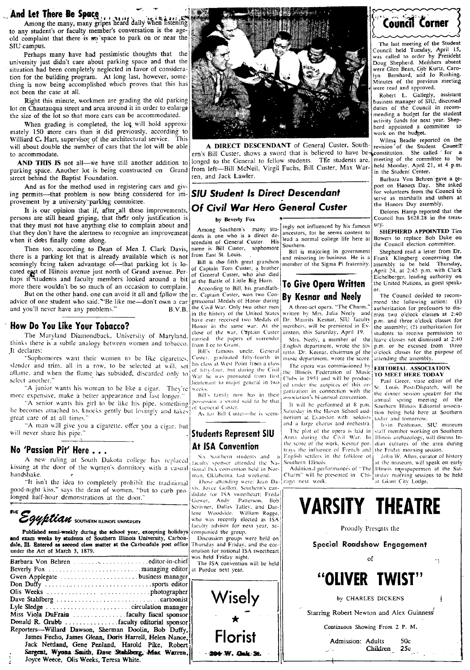And let There Be Space 11, 1, 14, 14 daily when listening to any student's or faculty member's conversation is the ageold complaint that there is no space to park on or near the SID campus,

Perhaps many have had pessimistic thoughts that the university just didn't care about parking space and that the situation had been completely neglected in favor of consideration for the building program. At long last, however, something is now being accomplished which proves that this has not been the case at all.

Right this minute, workmen are grading the old parking

mately 150 more cars than it did previously, according to will all the student of cars that it did previously, according to will all the student of cars that the lot will be able will be able will a **A DIRECT DESCENDANT** o Williard C. Hart, supervisor of the architectural service. This William C. Society of General Custer, South-<br>will about double the number of cars that the lot will be able **A DIRECT DESCENDANT** of General Custer, South-

street behind the Baptist Foundation.<br>And as for the method used in registering cars and given and Jack Lawler.

And as for the method used in registering cars and giv-<br>
ing permits—that problem is now being considered for im- **SIU Student Is Direct Descendant** for volunteers from the Council to

persons are still heard griping, that their only justification is by Beverly Fox ... Council has seen the treasthat they must not have anything else to complain about and Among Southern's many stu-lingly not influenced by his famous ury.<br>that they don't have the alertness to recognize an improvement that they don't have the alertness to recognize an improvement dentis is one who is a direct de-<br>when it does finally come along.<br>His gouthern is a direct de-<br>anomal college life here at Bowser to replace Bob Dake one of t when it does finally come along.  $\frac{1}{\text{second order}}$  is cendant of General Custer. His lead a no

Then too, according to Dean of Men I. Clark Davis, anne is Bill Custer, sophomore Southern.<br>
is a parking lot that is already available which is not from East St. Louis.<br>
ingly being taken advantage of—that parking lot is there is a parking lot that is already available which is not from East St. Louis.<br>Seemingly being taken advantage of—that parking lot is lo-<br>Results the fitth great grandson member of the Sigma Pi fraternity. assembly to seemingly being taken advantage of that parking lot is locked by the fifth great grandson member of the Sigma Pi fraternity. assembly to be held Thursday,<br>cated east of Illinois avenue just north of Grand avenue. Per of G haps if students and faculty members looked around a bit at the Battle of Little Big Horn.<br>more there wouldn't be so much of an occasion to complain.

Externe wouldn't be so much of an occasion to complain.<br>But on the other hand, one can avoid it all and follow the er. Captain Custer, won two Con-<br>ce of one student who said, "Be like me—don't own a car gressional Medals advice of one student who said. "Be like me-don't own a car gressional Medals of Honor during **Dy Resilure and The Civil Medals** of Honor during at the care gress<sup>, "The Civil War. Only two other men A three-act opera, "Th</sup>

The Maryland Diamondback, University of Maryland. earlied the papers of surrender Mrs. Neely, a member of the exercises for dismissed at 2:40<br>It declares:<br>It declares:<br>The state is a subtle analogy between women and tobacc

It declares:<br>
"Sophomores want their women to be like cigarettes.<br>
Sophomores want their women to be like cigarettes.<br>
Sophomores want their women to be like cigarettes.<br>
Sophomores want their women to be selected at will slender and trim. all in a row, to be selected at will, set  $\begin{bmatrix}$ his aflame, and when the flame has subsided, discarded only to solutions want then women to be like a cigar. They're like stars at West Point from a class. The operation of Music<br>and the Hame, and when the flame has subsided, discarded only to the was promoted from first. The operatio  $\cdot$   $\cdot$  and subsided, discursed only to War he was promoted from Jirst Clubs in 1951 and will be produc-1 -  $\overline{D}$  and Carry states 1946.

A senior wants his girl to be like his pipe, something possession a sword said to be that the performed at 8 p.m. Same and spring incerning be the performed at S p.m. It will be performed at S p.m. ISouthern Illinois Edito he becomes attached to. knocks gently but Iovingly and takes great care of at all times."

and a large chorus and orchestra. I risin Peithman, SIU museum in the you a cigar. but  $\begin{bmatrix} \text{and a large chorus and orders} \\ \text{the opera is laid in } \text{stiff member working on Southern} \end{bmatrix}$  and a large chorus and orchestra. I risin Peithman, SIU museum will never share his pipe." Studients Represent SIU  $\begin{bmatrix} 1 \\ -1 \end{bmatrix}$  and during the Civil War. In illinois archaeology, will discuss In-<br>At ICA Convention

### No 'Passion Pit' Here

A new ruling at South Dakota college has replaced kissing at the door of the women's dormitory with The manufacture of at all times."<br>
The manufacture simple of the state of the you a cignal area will never share his pipe."<br> **No 'Passion Pit' Here ...**<br>
A new ruling at South Dakota college has relatively<br>
shandshake.<br>
Th

"It isn't the idea to completely prohibit the traditional good-night kiss." says the dean of women, "out to curb pro longed half-hour demonstrations at the door." *i* 

Egyptian southern ILLINOIS UNIVERSITY

Published semi-weekly during the school year, excepting holidays companied the group.<br>exam weeks by students of Southern Illinois University, Carbon- Discussion groups were held on and exam weeks by students of Southern Illinois University, Carbon Discussion groups were held or dale, Ill. Entered as second class matter at the Carbondale post office Thursday and Friday, and the cordale, Ill. Entered as second class matter at the Carbondale post office under the Act of March 3, 1879.

| $\frac{1}{2}$                                           |                                                           |                                          |
|---------------------------------------------------------|-----------------------------------------------------------|------------------------------------------|
|                                                         | was held Friday night.<br>The ISA convention will be held |                                          |
|                                                         |                                                           |                                          |
|                                                         |                                                           | "OLIVER TWIST"                           |
|                                                         |                                                           |                                          |
|                                                         |                                                           |                                          |
|                                                         | Wisely                                                    | by CHARLES DICKENS                       |
|                                                         |                                                           |                                          |
|                                                         |                                                           | Starring Robert Newton and Alex Guinness |
|                                                         |                                                           |                                          |
| Reporters-Willard Dawson, Sherman Doolin, Bob Duffy,    |                                                           | Continuous Showing From 2 P. M.          |
| James Fecho, James Glean, Doris Harrell, Helen Nance.!! | <b>Florist</b>                                            |                                          |
| Jack Nettland, Gene Penland, Harold Pike, Robert        |                                                           | Admission: Adults<br>50c                 |
| Sargent, Wyona Smith, Dave Stahlberg, Max Warren,       | 204 W. Oak St.                                            | Children 25c                             |
| Joyce Weece, Olis Weeks, Teresa White.                  |                                                           |                                          |
|                                                         |                                                           |                                          |



will about double the number of cars that the lot will be able  $\begin{bmatrix} \mathbf{A} \\ \mathbf{B} \end{bmatrix}$  Custer, shows a sword that is believed to have be constitution. ern's Bill Custer, shows a sword that is believed to have be-constitution. She called for a longed to the General to follow students. The students are meeting of the committee to be AND THIS IS not all—we have still another addition to longed to the General to fellow students. The students arc, meeting of the committee to be<br>parking space. Another lot is being constructed on Grand from left—Bill McNe II MCNeil, Virgil Fuchs, Bill Custer, Max War-<br>
1911 March Center, and Jack Lawler.<br>
1911 McMeil, Irgl uch uc s, Islam Behave

# From the Honors II heard prive as marshalls and ushers at provement by a university parking committee.<br>
It is our opinion that if, after all these improvements, **Of Civil War Hero General Custer**<br>
The Honors Day assembly.<br>

B.V.B. lihe Civil War. Only two other men<br>"in the history of the United-States" **How Do You Like Your Tobacco?** Honor in the same war. At the members, will be premiered in Even assembly, (2) authorization for<br>The Maryland Diamondback, University of Maryland, secret assembly the assembly of the assembl

his class at West Point from a class]<br>of Tifty-four, but during the Civil<sup>1</sup> his class at West Point from a class The opera was commissioned by<br>of fifty-four, but during the Civil the Illinois Federation of Music

tional ISA convention held in Nor-<br>man, Oklahoma, last weekend.

Those attending were: Jean  $Da-$  Cago next week. vis, Jovee Gollon, Southern's canuidate for ISA sweetheart; Freda<br>Gower, Andy Patterson, Bob Gower, Andy Patterson, Bob Scrivner. Dallas Talley, and Darlene Woodside. William Rogge, who was recently elected as ISA =<br>faculty advisor for next year, ac-1

onation for national ISA sweetheart<br>was held Friday night.



In the bistory of the United States written by Mrs. Julia Neely and miss two o'clock classes at 2:40<br>have ever received two Medals of Dr. Maurits Kesnar, SIU faculty p.m. and three o'clock classes for

The opera was commissioned by

 $\frac{1}{2}$  iterium at Evanston with soloists  $\frac{1}{2}$  today and tomorrow.<br>and a large chorus and orchestra.  $\frac{1}{2}$  1xin Peithman, SIU museum

**At ISA Convention** the score of the work, Kesnar por- $\begin{bmatrix} \text{diam} \\ \text{diam} \end{bmatrix}$  dian cultures of the area during **AT ISA CONVENTION** Traxy the influence of French and the Friday morning session.<br>
1 Six Southern students and  $\alpha$  English settlers in the folklore of John W. Allen, curator of history



The last meeting of the Student Council held Tuesday, April 15, was called to order by presidebt Doug Shepherd. Members absent were" Glen Bean, Gib- Kurtz, Caro-lyn Bernhard, and Jo Rushing. Minutes of the previous meeting were read and approved.

Robert L. Gallegly, assistant<br>business manager of SIU, discussed<br>duties of the Council in recom-

## e. attending the assembly.<br> $\begin{bmatrix} \text{by} \\ \text{EDITORIAL ASSOCIATION} \end{bmatrix}$

affame, and when the flame has subsided, discarded only to war he was promoted from first disc Federation of Music<br>select another."<br>
"A junior wants his woman to be like a cigar. They're weeks.<br>
"A junior wants his woman t

faculty sponsor attended the Na- Southern Illinois. [30] at the museum, will speak on early tional ISA convention held in Nor- | Additional performances of "The Hilinois newspapermen at the Sat-Charm" will be presented in Chi- urday morning sessions to be held cago next week.

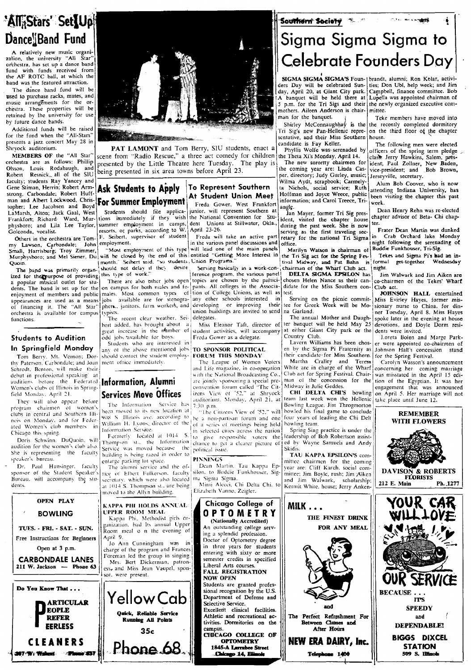# 'AlliStars' SetlUp

**Dance Band Fund**<br>A relatively new music organi-<br>zation, the university "All Star" orchestra, has set up a dance band<br>fund with funds received from fund with funds received from<br>the AF ROTC ball, at which the

for the fund when the "All-Stars" scheme of the fund when the "All-Stars" scheme of the Miss Southern presents a jazz concert May 28 in Shryock and their Miss Southern candidate is Fay Keller.<br>Shryock and their Miss Southe

faculty; students Ray Yancey and **Aximity Accepts Apply 10 Represent Southern** Wilma Aydt, scrapbook; Carmely- Gene Stiman, Herrin; Robert Arm- **Ask Students to Apply** 10 Represent Southern as Nichols, social service; Ruth strong. Carbondale; Robert Huff- ! At Student Union Meet Hoffman and Joyce Weece, pubhc be<:n visiting the chapter this past man and Albert Lockwood, Chris- **For Summer Employment** Freda Gower, West Frankfort information; and Carol Treece, Tri- week.<br>
LaMarsh, Alton; Jack Gaal, West Students should file applica- junior, will represent Southern a

Small, Harrisburg, Troy Zimmer, Most employment of this type will lead one of the main panels Marilyn Watson is chairman of Buddle Funknouser, Iri-Sign and Media in-<br>Murphysboro; and Mel Siener, Du with be closed by the en

Tom Berry, Mt. Vernon; Dor- should contact the student employ- FORUM THIS MONDAY their candidate for Miss Southern. For the Spring Festival.<br>thy Paterson, Carbondale, and Joan ment office immediately. The League of Women V Tom Berry, Mt. Vernon; Dor-<br>
thy Paterson, Carbondale; and Joan ment office immediately.<br>
Schrodt, Benton, will meak their path of the engage of Women Voters and Life magning the area of Women Voters and Teres on the Schro auditions before the Federated Information, Alumni and a special pre- man of the concession for the into of the Egyptian. It was here were the Federated Information,  $\frac{1}{2}$  was here were the states of the Egyptian, It w

audition for the women's club also. Service was moved because the political issue.<br>She is representing the faculty bilding is being razed in order to TAU KAPPA EPSILON'S com-<br>speaker's bureau. The RINNINGS committee chairm

sponsor of the Student Speaker's fice of Elbert Fulkerson. faculty Bureau, will accompany the stu- secretary, which were also located



**PAT LAMONT** and Tom Berry, SIU students, enact a <sup>candidate is Fay Keller. The following men were elected by ficers of the spring term pledge</sup> Shryock auditorium.<br>MEMBERS OF the "All Star" scene from "Radio Rescue," a three act comedy for children the Theta Xi's Monday, April 14. Forchestra are as follows: Phillip scent non research by the Little Theatre here Tuesday. The play is The new sorortry chairmen for ident; Paul Zollner, New Baden, New Baden, New Baden, New Baden, New Baden, New Baden, New Ulsson, Louis Rodabaugh, and being presented in six area towns before April 23. The coming year are: Linda Cas- vice-president; and Robert Resnick, all of the SIU being presented in six area towns before April 23.

## Gene Stiman, Herrin; Robert Arm- Ask Students to Apply 10 Represent Southern and Joyce Weece; Ruth attending Indiana University, has strong. Carbondale; Robert Huff and The Chapter this past

LaMarsh, Alton; Jack Gaal, West Students should file applica-junior, will represent Southern at Jan Mayer, former Tri Sig pres-<br>Frankfort; Richard Ward, Mur-lions immediately if they wish the National Convention for Stu-li Coloconda, vocalist Lee Taylor, summulti empaysion of student in empaysion of the state of the state of the state of the state of the state of the state of the state of the state of the state of the state of the state of t

The paysboro; and Mel Siemer, Du'will be closed by the end of this entitled "Getting More Interest in the Tri-Sig act for the Spring Fest and Sigma Pi's had an interval month." Seihert said, "so students, Union Programs."<br>

• Freda Gower as a delegate. Students to Audition and Students activities, will accompany at either Giant Country Club.

In Spring and the above mentioned jobs **TO SPONSOR POLITICAL** en by the Sigma Pi Fraternity as Johnson Hall's concession stands should contact the student employ- **FORUM THIS MONDAY** their candidate for Miss Southern. For

program chairmen of women's heat more into the service and 7:30 p.m.<br>clubs in central and Southern III had now location at  $\|\cdot\|$  in Citizens View of '52," will bowled his final game to conclude<br>nois in central and for F Grups in central and southern and 908. S. Illinois ave. according to be a non-partisan forum and one four years of leading the Chi Delt<br>nois on Monday, and for Feder-<br>ated Women's club members in William H. Lyons, directo Let women's cuto members in Information Service.<br>Chicago this series are across the nation Spring Spring Spring Spring Spring Spring Spring Spring Sing practice is under the I Doris Schwinn. DuQuoin, will Thompon st... the Information corresponsible voters the include the process of the terms of the state of the state of the state of the state of the state of the state of the state of the state

eaker's bureau.<br>Dr. Paul Hunsinger. faculty The alumni service and the of- Dean Martin. Tau Kappa Ep- year are: Cliff Karch, social com-Dr. Paul Hunsinger. faculty entarge parking to space.<br>Sponsor of the Student Speaker's fige of Elbert Fulkerson, faculty silon, to Buddie Funkhouser, Sig- pear are: Cliff Karch, social com-

moved to the Allyn building.

Quick, Reliable Service Running All Points 35c

Phone 68.

Others in the orchestra are Tom-<br>my Lawson, Carbondale; John employment.<br>Imployment of this type will lead one of the main panels and office.<br>Murphyshoro; and Mel Siemer, Du will be closed by the end of this entitled "Gett

The band was primarily organ ishould not dealy it incy desire there are program, the vari-con-contribution of the What are the set in the set of the set of the set of the set of the set of the set of the set of the set of Fraction of members and public males and public members are public members and the members of providing this type of work."<br>There are also other jobs open topics are chosen by the partici-chosen Helen Nance as their can-<br>e appearances are used as a means jobs available are for stenogra- any other schools interested in Serving on the picture commit- Miss Evirley Hayes, former mis-<br>of financing it. The "All Star" phers, janitors, farm workers,

unditions before the Federated **Information, Alumni** are jointly sponsoring a special pre- man of the concession for the tion of the Egyptian. It was her Women's clubs of Illinois in Spring-<br>Women's clubs of Illinois in Sp red Monday, April 21, **Services Move Offices** Izens View of '52," at Shryock CHI DELTA CHI'S bowling on April 5. Her marriage They will also appear before the straige WILL not be the straige WILL not be the straige WILL no The View of Services of the Convention of the convention of the convention of the convention of the Explicit. It is team is club of the Explicit. It is team is club of the Explicit. It is team is club of the Explicit. It i

Chicago College of  $\|$  MILK  $\ldots$ OPTOMETRY ITHE FINEST DRINK An outstanding college serving a splendid profession. Doctor of Optometry degree in three years tor students entering with sixty or more semester credits in specified Liberal Arts courses. FALL REGISTRATION NOW OPEN Students are granted professional recognition by the U.S. Department of Defense and Selective Service. Excelledt clinical facilities. Athletic and recreational activities. Dormitories on the

campus. cmCAGO COLLEGE OF **OPTOMETRY** 

1845-A Lomabee Street .Chicago 14, illino

### Southern Society

## Sigma Sigma Sigma to Celebrate Founders Day

mothers. Aileen Anderson is chair-<br>man for the banquet.

Additional funds will be raised and the result of the chapter of the chapter of the chapter of the chapter of the chapter of the chapter of the chapter of the chapter of the chapter of the chapter of the chapter of the cha

per, directory; Judy Gurley, music; Jerseyville, secretary.<br>Wilma Aydt, scrapbook; Carmely-<br>Alum Bob Coover, who is now

dents. The band is set up for the on campus for both niales and fe- pants. All colleges in the Associa- didate for the Miss Southern con-I Club act.<br>
enjoyment of members and public males. Most common types of tion of Coll

Miss Eleanor Taft, director of ter banquet will be held May 25 devotions, and Do<br>student activities, will accompany at either Giant City park or the dents were invited.

Schrodt. Benton. Schrodt. Benton. Will make their<br>I all the magazine, in co-operation with the What I concerning her coming marriage<br>debut in professional speaking at with the National Broadcasting Co.. Club act for Spring

The Information Service has 7:30 p.m.<br>The Information Service has 7:30 p.m.<br>been moved to its new location at  $\begin{bmatrix} 7.30 & \text{p.m.} \\ 0.00000 & \text{p.m.} \\ 0.000000 & \text{p.m.} \end{bmatrix}$  bowling League. Jim Throgmorton

and

Telephone 1400

appearances are used as a means jobs available are for stenogra- any other schools interested in Serving on the picnic commit- Miss Evirley Hayes, former mis-<br>of financing it. The "All Star" phere, janitors, farm workers,

Id job, available for boys.<br>Students who are interested in Freda Gower as a delegate. The Country Club, and the Loreta Bolen and Marge Parkof the Students who are interested in the students who are interested in the Students of the Students of the students of the students of the students of the students of the students of the students of the students of the S





 $211$  W. Jackson  $-$  Phone 63 Do You Know That . . . **PEO**RE ARTICULAR EOPLE REFER ess, and Miss Jean Vaupel. sponsor. were present. YellowCab

EERLESS ClEANERS

**207-W: Walnut - - Plane 637** 

BOWLING TUES.· FRI.· SAT.· SUN. Free Instructions for Beginners